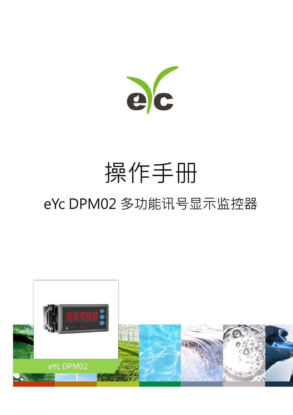

# 操作手册 eYc DPM02 多功能讯号显示监控器

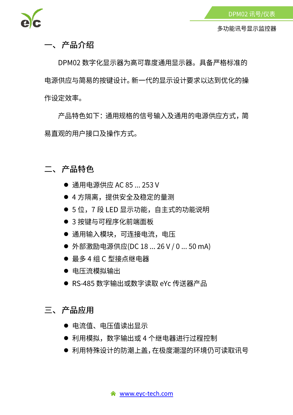

一、产品介绍

DPM02 数字化显示器为高可靠度通用显示器。具备严格标准的 电源供应与简易的按键设计。新一代的显示设计要求以达到优化的操 作设定效率。

产品特色如下:通用规格的信号输入及通用的电源供应方式,简 易直观的用户接口及操作方式。

二、产品特色

- 通用电源供应 AC 85 ... 253 V
- 4 方隔离,提供安全及稳定的量测
- 5位, 7段 LED 显示功能, 自主式的功能说明
- 3 按键与可程序化前端面板
- 通用输入模块, 可连接电流, 电压
- 外部激励电源供应(DC 18 ... 26 V / 0 ... 50 mA)
- 最多4组C型接点继电器
- 电压流模拟输出
- RS-485 数字输出或数字读取 eYc 传送器产品
- 三、产品应用
	- 电流值、电压值读出显示
	- 利用模拟,数字输出或 4 个继电器进行过程控制
	- 利用特殊设计的防潮上盖,在极度潮湿的环境仍可读取讯号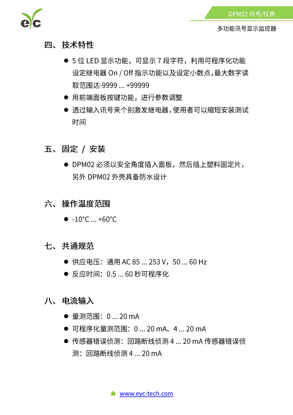

- 四、技术特性
	- 5位 LED 显示功能,可显示 7 段字符,利用可程序化功能 设定继电器 On / Off 指示功能以及设定小数点, 最大数字读 取范围达-9999 ... +99999
	- 用前端面板按键功能, 进行参数调整
	- 透过输入讯号来个别激发继电器,使用者可以缩短安装测试 时间
- 五、固定 / 安装
	- DPM02 必须以安全角度插入面板, 然后插上塑料固定片, 另外 DPM02 外壳具备防水设计
- 六、操作温度范围
	- $\bullet$  -10°C ... +60°C
- 七、共通规范
	- 供应电压: 通用 AC 85 ... 253 V, 50 ... 60 Hz
	- 反应时间: 0.5 ... 60 秒可程序化
- 八、电流输入
	- 量测范围: 0 ... 20 mA
	- 可程序化量测范围: 0 ... 20 mA、4 ... 20 mA
	- 传感器错误侦测: 回路断线侦测 4 ... 20 mA 传感器错误侦 测: 回路断线侦测 4 ... 20 mA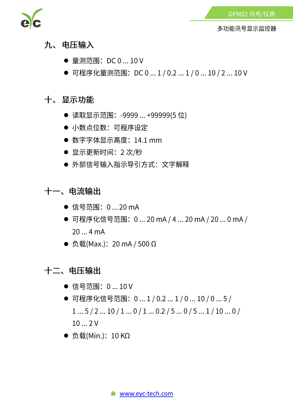

多功能讯号显示监控器

- 九、电压输入
	- 量测范围: DC 0 ... 10 V
	- 可程序化量测范围: DC 0 ... 1 / 0.2 ... 1 / 0 ... 10 / 2 ... 10 V

#### 十、显示功能

- 读取显示范围: -9999 ... +99999(5 位)
- 小数点位数: 可程序设定
- 数字字体显示高度: 14.1 mm
- 显示更新时间: 2次/秒
- 外部信号输入指示导引方式: 文字解释

#### 十一、电流输出

- 信号范围: 0 ... 20 mA
- 可程序化信号范围: 0 ... 20 mA / 4 ... 20 mA / 20 ... 0 mA /  $20...4mA$
- 负载(Max.): 20 mA / 500 Ω

#### 十二、电压输出

- 信号范围: 0 ... 10 V
- 可程序化信号范围: 0...1/0.2...1/0...10/0...5/  $1...5/2...10/1...0/1...0.2/5...0/5...1/10...0/$  $10...2V$
- 负载(Min.): 10 KΩ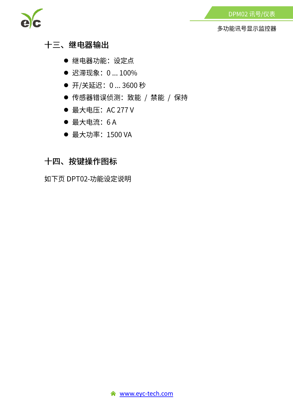

#### 十三、继电器输出

- 继电器功能: 设定点
- 迟滞现象: 0...100%
- 开/关延迟: 0 ... 3600 秒
- 传感器错误侦测: 致能 / 禁能 / 保持
- 最大电压: AC 277 V
- 最大电流: 6A
- 最大功率: 1500 VA

#### 十四、按键操作图标

如下页 DPT02-功能设定说明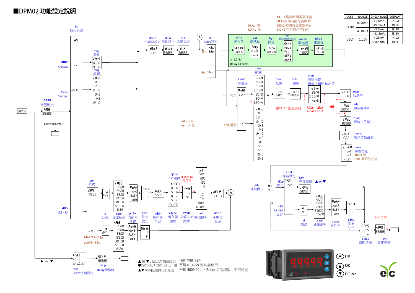#### ■DPM02 功能設定說明